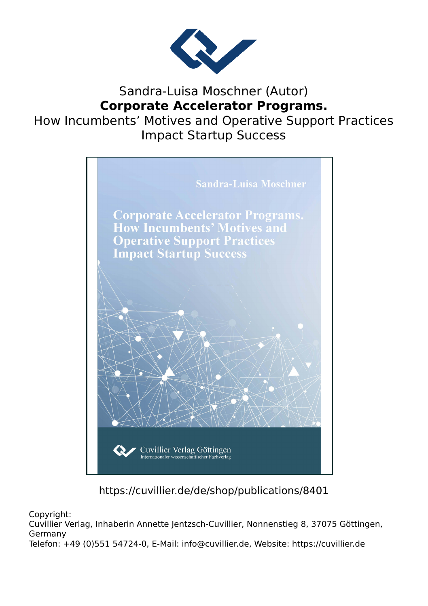

# Sandra-Luisa Moschner (Autor) **Corporate Accelerator Programs.**

How Incumbents' Motives and Operative Support Practices Impact Startup Success



https://cuvillier.de/de/shop/publications/8401

Copyright:

Cuvillier Verlag, Inhaberin Annette Jentzsch-Cuvillier, Nonnenstieg 8, 37075 Göttingen, Germany

Telefon: +49 (0)551 54724-0, E-Mail: info@cuvillier.de, Website: https://cuvillier.de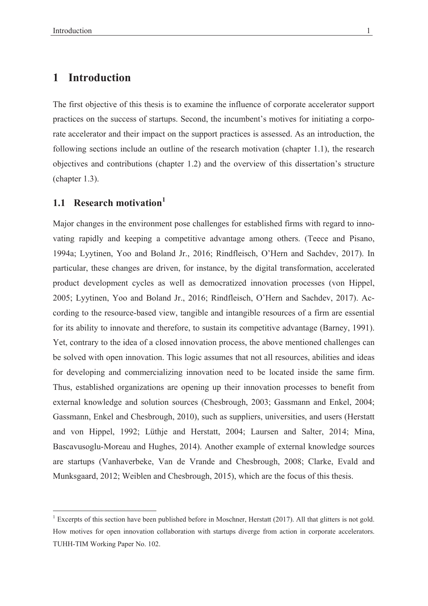### **Introduction** 1

The first objective of this thesis is to examine the influence of corporate accelerator support practices on the success of startups. Second, the incumbent's motives for initiating a corporate accelerator and their impact on the support practices is assessed. As an introduction, the following sections include an outline of the research motivation (chapter 1.1), the research objectives and contributions (chapter 1.2) and the overview of this dissertation's structure  $(charet 1.3).$ 

#### Research motivation<sup>1</sup>  $1.1$

Major changes in the environment pose challenges for established firms with regard to innovating rapidly and keeping a competitive advantage among others. (Teece and Pisano, 1994a; Lyytinen, Yoo and Boland Jr., 2016; Rindfleisch, O'Hern and Sachdev, 2017). In particular, these changes are driven, for instance, by the digital transformation, accelerated product development cycles as well as democratized innovation processes (von Hippel, 2005; Lyytinen, Yoo and Boland Jr., 2016; Rindfleisch, O'Hern and Sachdev, 2017). According to the resource-based view, tangible and intangible resources of a firm are essential for its ability to innovate and therefore, to sustain its competitive advantage (Barney, 1991). Yet, contrary to the idea of a closed innovation process, the above mentioned challenges can be solved with open innovation. This logic assumes that not all resources, abilities and ideas for developing and commercializing innovation need to be located inside the same firm. Thus, established organizations are opening up their innovation processes to benefit from external knowledge and solution sources (Chesbrough, 2003; Gassmann and Enkel, 2004; Gassmann, Enkel and Chesbrough, 2010), such as suppliers, universities, and users (Herstatt and von Hippel, 1992; Lüthje and Herstatt, 2004; Laursen and Salter, 2014; Mina, Bascavusoglu-Moreau and Hughes, 2014). Another example of external knowledge sources are startups (Vanhaverbeke, Van de Vrande and Chesbrough, 2008; Clarke, Evald and Munksgaard, 2012; Weiblen and Chesbrough, 2015), which are the focus of this thesis.

<sup>&</sup>lt;sup>1</sup> Excerpts of this section have been published before in Moschner, Herstatt (2017). All that glitters is not gold. How motives for open innovation collaboration with startups diverge from action in corporate accelerators. TUHH-TIM Working Paper No. 102.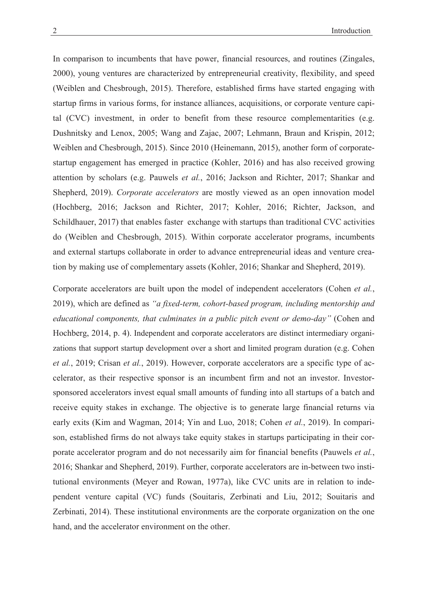In comparison to incumbents that have power, financial resources, and routines (Zingales, 2000), young ventures are characterized by entrepreneurial creativity, flexibility, and speed (Weiblen and Chesbrough, 2015). Therefore, established firms have started engaging with startup firms in various forms, for instance alliances, acquisitions, or corporate venture capital (CVC) investment, in order to benefit from these resource complementarities (e.g. Dushnitsky and Lenox, 2005; Wang and Zajac, 2007; Lehmann, Braun and Krispin, 2012; Weiblen and Chesbrough, 2015). Since 2010 (Heinemann, 2015), another form of corporatestartup engagement has emerged in practice (Kohler, 2016) and has also received growing attention by scholars (e.g. Pauwels et al., 2016; Jackson and Richter, 2017; Shankar and Shepherd, 2019). Corporate accelerators are mostly viewed as an open innovation model (Hochberg, 2016; Jackson and Richter, 2017; Kohler, 2016; Richter, Jackson, and Schildhauer, 2017) that enables faster exchange with startups than traditional CVC activities do (Weiblen and Chesbrough, 2015). Within corporate accelerator programs, incumbents and external startups collaborate in order to advance entrepreneurial ideas and venture creation by making use of complementary assets (Kohler, 2016; Shankar and Shepherd, 2019).

Corporate accelerators are built upon the model of independent accelerators (Cohen et al., 2019), which are defined as "a fixed-term, cohort-based program, including mentorship and educational components, that culminates in a public pitch event or demo-day" (Cohen and Hochberg, 2014, p. 4). Independent and corporate accelerators are distinct intermediary organizations that support startup development over a short and limited program duration (e.g. Cohen et al., 2019; Crisan et al., 2019). However, corporate accelerators are a specific type of accelerator, as their respective sponsor is an incumbent firm and not an investor. Investorsponsored accelerators invest equal small amounts of funding into all startups of a batch and receive equity stakes in exchange. The objective is to generate large financial returns via early exits (Kim and Wagman, 2014; Yin and Luo, 2018; Cohen et al., 2019). In comparison, established firms do not always take equity stakes in startups participating in their corporate accelerator program and do not necessarily aim for financial benefits (Pauwels et al., 2016; Shankar and Shepherd, 2019). Further, corporate accelerators are in-between two institutional environments (Meyer and Rowan, 1977a), like CVC units are in relation to independent venture capital (VC) funds (Souitaris, Zerbinati and Liu, 2012; Souitaris and Zerbinati, 2014). These institutional environments are the corporate organization on the one hand, and the accelerator environment on the other.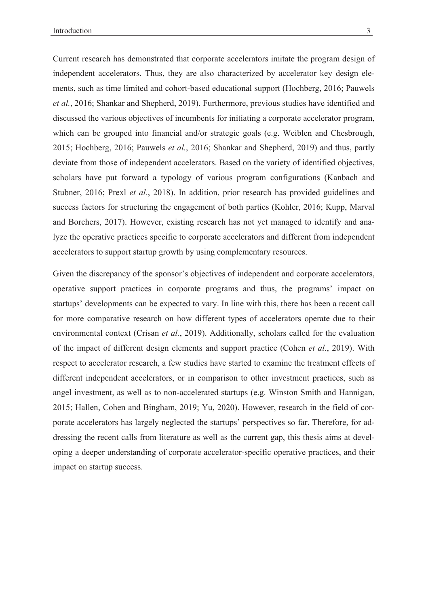Current research has demonstrated that corporate accelerators imitate the program design of independent accelerators. Thus, they are also characterized by accelerator key design elements, such as time limited and cohort-based educational support (Hochberg, 2016; Pauwels et al., 2016; Shankar and Shepherd, 2019). Furthermore, previous studies have identified and discussed the various objectives of incumbents for initiating a corporate accelerator program, which can be grouped into financial and/or strategic goals (e.g. Weiblen and Chesbrough, 2015; Hochberg, 2016; Pauwels et al., 2016; Shankar and Shepherd, 2019) and thus, partly deviate from those of independent accelerators. Based on the variety of identified objectives, scholars have put forward a typology of various program configurations (Kanbach and Stubner, 2016; Prexl et al., 2018). In addition, prior research has provided guidelines and success factors for structuring the engagement of both parties (Kohler, 2016; Kupp, Marval and Borchers, 2017). However, existing research has not yet managed to identify and analyze the operative practices specific to corporate accelerators and different from independent accelerators to support startup growth by using complementary resources.

Given the discrepancy of the sponsor's objectives of independent and corporate accelerators, operative support practices in corporate programs and thus, the programs' impact on startups' developments can be expected to vary. In line with this, there has been a recent call for more comparative research on how different types of accelerators operate due to their environmental context (Crisan *et al.*, 2019). Additionally, scholars called for the evaluation of the impact of different design elements and support practice (Cohen et al., 2019). With respect to accelerator research, a few studies have started to examine the treatment effects of different independent accelerators, or in comparison to other investment practices, such as angel investment, as well as to non-accelerated startups (e.g. Winston Smith and Hannigan, 2015; Hallen, Cohen and Bingham, 2019; Yu, 2020). However, research in the field of corporate accelerators has largely neglected the startups' perspectives so far. Therefore, for addressing the recent calls from literature as well as the current gap, this thesis aims at developing a deeper understanding of corporate accelerator-specific operative practices, and their impact on startup success.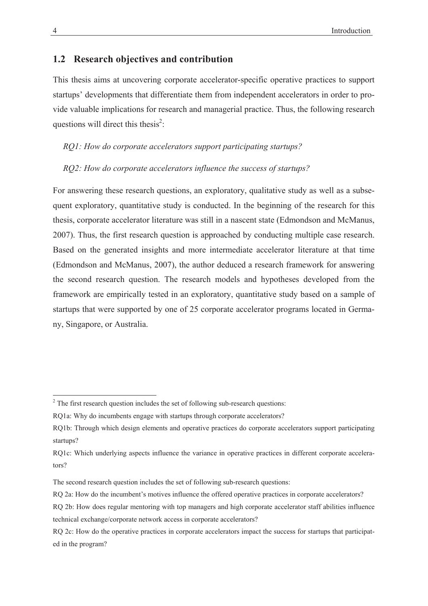## 1.2 Research objectives and contribution

This thesis aims at uncovering corporate accelerator-specific operative practices to support startups' developments that differentiate them from independent accelerators in order to provide valuable implications for research and managerial practice. Thus, the following research questions will direct this thesis<sup>2</sup>:

### RO1: How do corporate accelerators support participating startups?

### RO2: How do corporate accelerators influence the success of startups?

For answering these research questions, an exploratory, qualitative study as well as a subsequent exploratory, quantitative study is conducted. In the beginning of the research for this thesis, corporate accelerator literature was still in a nascent state (Edmondson and McManus, 2007). Thus, the first research question is approached by conducting multiple case research. Based on the generated insights and more intermediate accelerator literature at that time (Edmondson and McManus, 2007), the author deduced a research framework for answering the second research question. The research models and hypotheses developed from the framework are empirically tested in an exploratory, quantitative study based on a sample of startups that were supported by one of 25 corporate accelerator programs located in Germany, Singapore, or Australia.

 $2^2$  The first research question includes the set of following sub-research questions:

RQ1a: Why do incumbents engage with startups through corporate accelerators?

RO1b: Through which design elements and operative practices do corporate accelerators support participating startups?

RQ1c: Which underlying aspects influence the variance in operative practices in different corporate accelera $tors<sup>2</sup>$ 

The second research question includes the set of following sub-research questions:

RQ 2a: How do the incumbent's motives influence the offered operative practices in corporate accelerators?

RQ 2b: How does regular mentoring with top managers and high corporate accelerator staff abilities influence technical exchange/corporate network access in corporate accelerators?

RQ 2c: How do the operative practices in corporate accelerators impact the success for startups that participated in the program?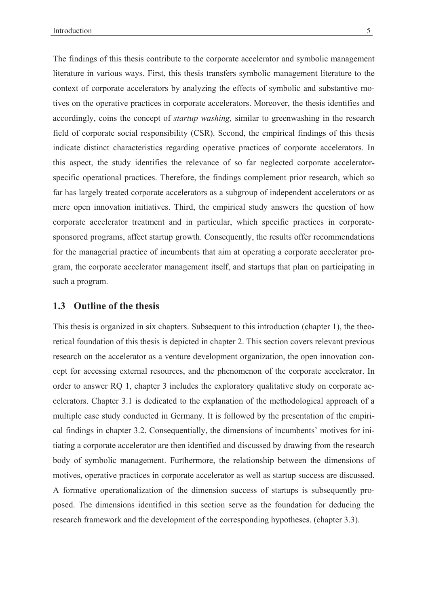The findings of this thesis contribute to the corporate accelerator and symbolic management literature in various ways. First, this thesis transfers symbolic management literature to the context of corporate accelerators by analyzing the effects of symbolic and substantive motives on the operative practices in corporate accelerators. Moreover, the thesis identifies and accordingly, coins the concept of *startup washing*, similar to greenwashing in the research field of corporate social responsibility (CSR). Second, the empirical findings of this thesis indicate distinct characteristics regarding operative practices of corporate accelerators. In this aspect, the study identifies the relevance of so far neglected corporate acceleratorspecific operational practices. Therefore, the findings complement prior research, which so far has largely treated corporate accelerators as a subgroup of independent accelerators or as mere open innovation initiatives. Third, the empirical study answers the question of how corporate accelerator treatment and in particular, which specific practices in corporatesponsored programs, affect startup growth. Consequently, the results offer recommendations for the managerial practice of incumbents that aim at operating a corporate accelerator program, the corporate accelerator management itself, and startups that plan on participating in such a program.

### **223** Outline of the thesis

This thesis is organized in six chapters. Subsequent to this introduction (chapter 1), the theoretical foundation of this thesis is depicted in chapter 2. This section covers relevant previous research on the accelerator as a venture development organization, the open innovation concept for accessing external resources, and the phenomenon of the corporate accelerator. In order to answer RQ 1, chapter 3 includes the exploratory qualitative study on corporate accelerators. Chapter 3.1 is dedicated to the explanation of the methodological approach of a multiple case study conducted in Germany. It is followed by the presentation of the empirical findings in chapter 3.2. Consequentially, the dimensions of incumbents' motives for initiating a corporate accelerator are then identified and discussed by drawing from the research body of symbolic management. Furthermore, the relationship between the dimensions of motives, operative practices in corporate accelerator as well as startup success are discussed. A formative operationalization of the dimension success of startups is subsequently proposed. The dimensions identified in this section serve as the foundation for deducing the research framework and the development of the corresponding hypotheses. (chapter 3.3).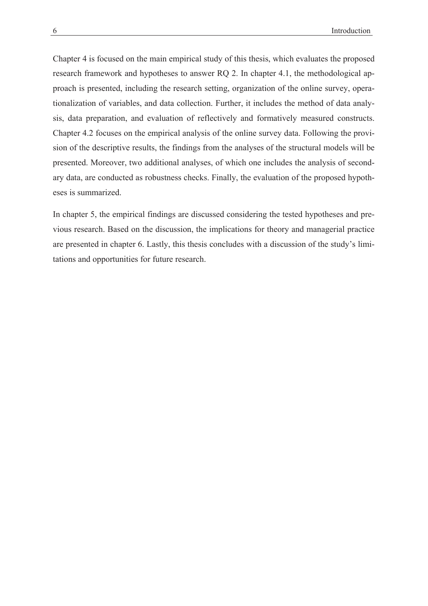Chapter 4 is focused on the main empirical study of this thesis, which evaluates the proposed research framework and hypotheses to answer RO 2. In chapter 4.1, the methodological approach is presented, including the research setting, organization of the online survey, operationalization of variables, and data collection. Further, it includes the method of data analysis, data preparation, and evaluation of reflectively and formatively measured constructs. Chapter 4.2 focuses on the empirical analysis of the online survey data. Following the provision of the descriptive results, the findings from the analyses of the structural models will be presented. Moreover, two additional analyses, of which one includes the analysis of secondary data, are conducted as robustness checks. Finally, the evaluation of the proposed hypotheses is summarized.

In chapter 5, the empirical findings are discussed considering the tested hypotheses and previous research. Based on the discussion, the implications for theory and managerial practice are presented in chapter 6. Lastly, this thesis concludes with a discussion of the study's limitations and opportunities for future research.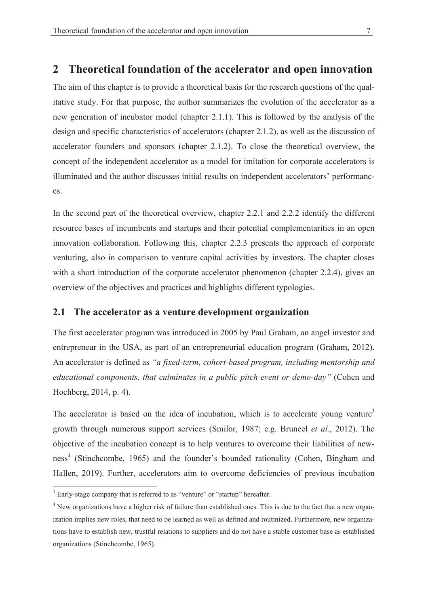#### Theoretical foundation of the accelerator and open innovation  $\mathfrak{D}$

The aim of this chapter is to provide a theoretical basis for the research questions of the qualitative study. For that purpose, the author summarizes the evolution of the accelerator as a new generation of incubator model (chapter 2.1.1). This is followed by the analysis of the design and specific characteristics of accelerators (chapter 2.1.2), as well as the discussion of accelerator founders and sponsors (chapter 2.1.2). To close the theoretical overview, the concept of the independent accelerator as a model for imitation for corporate accelerators is illuminated and the author discusses initial results on independent accelerators' performances.

In the second part of the theoretical overview, chapter 2.2.1 and 2.2.2 identify the different resource bases of incumbents and startups and their potential complementarities in an open innovation collaboration. Following this, chapter 2.2.3 presents the approach of corporate venturing, also in comparison to venture capital activities by investors. The chapter closes with a short introduction of the corporate accelerator phenomenon (chapter 2.2.4), gives an overview of the objectives and practices and highlights different typologies.

#### $2.1$ The accelerator as a venture development organization

The first accelerator program was introduced in 2005 by Paul Graham, an angel investor and entrepreneur in the USA, as part of an entrepreneurial education program (Graham, 2012). An accelerator is defined as "a fixed-term, cohort-based program, including mentorship and educational components, that culminates in a public pitch event or demo-day" (Cohen and Hochberg, 2014, p. 4).

The accelerator is based on the idea of incubation, which is to accelerate young venture<sup>3</sup> growth through numerous support services (Smilor, 1987; e.g. Bruneel et al., 2012). The objective of the incubation concept is to help ventures to overcome their liabilities of newness<sup>4</sup> (Stinchcombe, 1965) and the founder's bounded rationality (Cohen, Bingham and Hallen, 2019). Further, accelerators aim to overcome deficiencies of previous incubation

<sup>&</sup>lt;sup>3</sup> Early-stage company that is referred to as "venture" or "startup" hereafter.

<sup>&</sup>lt;sup>4</sup> New organizations have a higher risk of failure than established ones. This is due to the fact that a new organization implies new roles, that need to be learned as well as defined and routinized. Furthermore, new organizations have to establish new, trustful relations to suppliers and do not have a stable customer base as established organizations (Stinchcombe, 1965).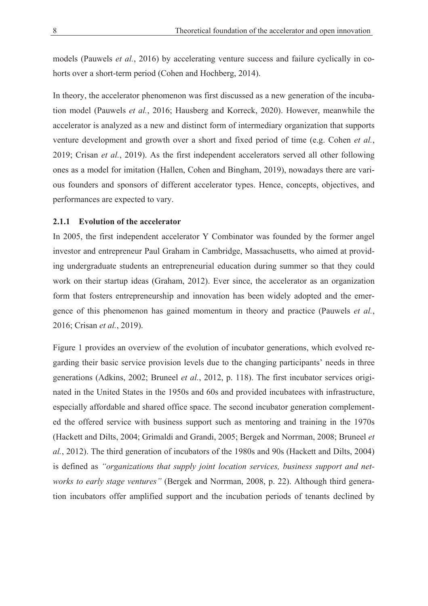models (Pauwels et al., 2016) by accelerating venture success and failure cyclically in cohorts over a short-term period (Cohen and Hochberg, 2014).

In theory, the accelerator phenomenon was first discussed as a new generation of the incubation model (Pauwels et al., 2016; Hausberg and Korreck, 2020). However, meanwhile the accelerator is analyzed as a new and distinct form of intermediary organization that supports venture development and growth over a short and fixed period of time (e.g. Cohen et al., 2019; Crisan et al., 2019). As the first independent accelerators served all other following ones as a model for imitation (Hallen, Cohen and Bingham, 2019), nowadays there are various founders and sponsors of different accelerator types. Hence, concepts, objectives, and performances are expected to vary.

### 2.1.1 Evolution of the accelerator

In 2005, the first independent accelerator Y Combinator was founded by the former angel investor and entrepreneur Paul Graham in Cambridge, Massachusetts, who aimed at providing undergraduate students an entrepreneurial education during summer so that they could work on their startup ideas (Graham, 2012). Ever since, the accelerator as an organization form that fosters entrepreneurship and innovation has been widely adopted and the emergence of this phenomenon has gained momentum in theory and practice (Pauwels et al., 2016; Crisan et al., 2019).

Figure 1 provides an overview of the evolution of incubator generations, which evolved regarding their basic service provision levels due to the changing participants' needs in three generations (Adkins, 2002; Bruneel et al., 2012, p. 118). The first incubator services originated in the United States in the 1950s and 60s and provided incubatees with infrastructure, especially affordable and shared office space. The second incubator generation complemented the offered service with business support such as mentoring and training in the 1970s (Hackett and Dilts, 2004; Grimaldi and Grandi, 2005; Bergek and Norrman, 2008; Bruneel et al., 2012). The third generation of incubators of the 1980s and 90s (Hackett and Dilts, 2004) is defined as "organizations that supply joint location services, business support and networks to early stage ventures" (Bergek and Norrman, 2008, p. 22). Although third generation incubators offer amplified support and the incubation periods of tenants declined by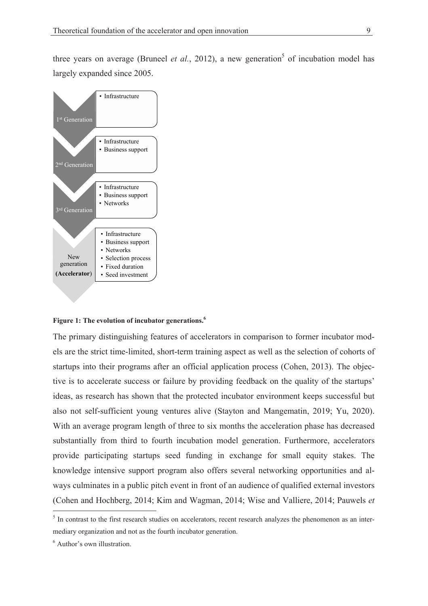three years on average (Bruneel et al., 2012), a new generation<sup>5</sup> of incubation model has largely expanded since 2005.



Figure 1: The evolution of incubator generations.<sup>6</sup>

The primary distinguishing features of accelerators in comparison to former incubator models are the strict time-limited, short-term training aspect as well as the selection of cohorts of startups into their programs after an official application process (Cohen, 2013). The objective is to accelerate success or failure by providing feedback on the quality of the startups' ideas, as research has shown that the protected incubator environment keeps successful but also not self-sufficient young ventures alive (Stayton and Mangematin, 2019; Yu, 2020). With an average program length of three to six months the acceleration phase has decreased substantially from third to fourth incubation model generation. Furthermore, accelerators provide participating startups seed funding in exchange for small equity stakes. The knowledge intensive support program also offers several networking opportunities and always culminates in a public pitch event in front of an audience of qualified external investors (Cohen and Hochberg, 2014; Kim and Wagman, 2014; Wise and Valliere, 2014; Pauwels et

<sup>&</sup>lt;sup>5</sup> In contrast to the first research studies on accelerators, recent research analyzes the phenomenon as an intermediary organization and not as the fourth incubator generation.

 $6$  Author's own illustration